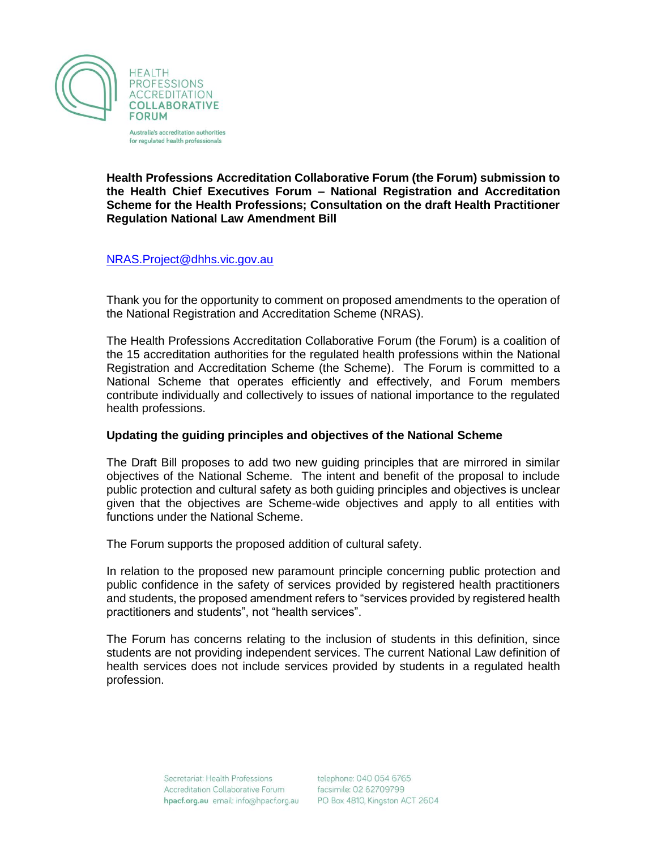

Australia's accreditation authorities for regulated health professionals

**Health Professions Accreditation Collaborative Forum (the Forum) submission to the Health Chief Executives Forum – National Registration and Accreditation Scheme for the Health Professions; Consultation on the draft Health Practitioner Regulation National Law Amendment Bill** 

### [NRAS.Project@dhhs.vic.gov.au](mailto:NRAS.Project@dhhs.vic.gov.au)

Thank you for the opportunity to comment on proposed amendments to the operation of the National Registration and Accreditation Scheme (NRAS).

The Health Professions Accreditation Collaborative Forum (the Forum) is a coalition of the 15 accreditation authorities for the regulated health professions within the National Registration and Accreditation Scheme (the Scheme). The Forum is committed to a National Scheme that operates efficiently and effectively, and Forum members contribute individually and collectively to issues of national importance to the regulated health professions.

### **Updating the guiding principles and objectives of the National Scheme**

The Draft Bill proposes to add two new guiding principles that are mirrored in similar objectives of the National Scheme. The intent and benefit of the proposal to include public protection and cultural safety as both guiding principles and objectives is unclear given that the objectives are Scheme-wide objectives and apply to all entities with functions under the National Scheme.

The Forum supports the proposed addition of cultural safety.

In relation to the proposed new paramount principle concerning public protection and public confidence in the safety of services provided by registered health practitioners and students, the proposed amendment refers to "services provided by registered health practitioners and students", not "health services".

The Forum has concerns relating to the inclusion of students in this definition, since students are not providing independent services. The current National Law definition of health services does not include services provided by students in a regulated health profession.

> Secretariat: Health Professions **Accreditation Collaborative Forum** hpacf.org.au email: info@hpacf.org.au

telephone: 040 054 6765 facsimile: 02 62709799 PO Box 4810, Kingston ACT 2604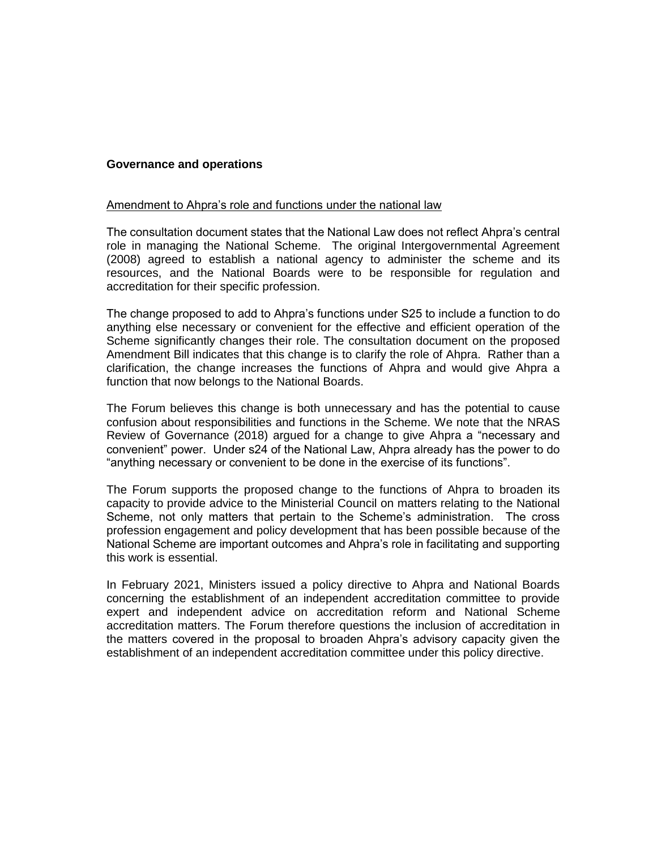### **Governance and operations**

#### Amendment to Ahpra's role and functions under the national law

The consultation document states that the National Law does not reflect Ahpra's central role in managing the National Scheme. The original Intergovernmental Agreement (2008) agreed to establish a national agency to administer the scheme and its resources, and the National Boards were to be responsible for regulation and accreditation for their specific profession.

The change proposed to add to Ahpra's functions under S25 to include a function to do anything else necessary or convenient for the effective and efficient operation of the Scheme significantly changes their role. The consultation document on the proposed Amendment Bill indicates that this change is to clarify the role of Ahpra. Rather than a clarification, the change increases the functions of Ahpra and would give Ahpra a function that now belongs to the National Boards.

The Forum believes this change is both unnecessary and has the potential to cause confusion about responsibilities and functions in the Scheme. We note that the NRAS Review of Governance (2018) argued for a change to give Ahpra a "necessary and convenient" power. Under s24 of the National Law, Ahpra already has the power to do "anything necessary or convenient to be done in the exercise of its functions".

The Forum supports the proposed change to the functions of Ahpra to broaden its capacity to provide advice to the Ministerial Council on matters relating to the National Scheme, not only matters that pertain to the Scheme's administration. The cross profession engagement and policy development that has been possible because of the National Scheme are important outcomes and Ahpra's role in facilitating and supporting this work is essential.

In February 2021, Ministers issued a policy directive to Ahpra and National Boards concerning the establishment of an independent accreditation committee to provide expert and independent advice on accreditation reform and National Scheme accreditation matters. The Forum therefore questions the inclusion of accreditation in the matters covered in the proposal to broaden Ahpra's advisory capacity given the establishment of an independent accreditation committee under this policy directive.